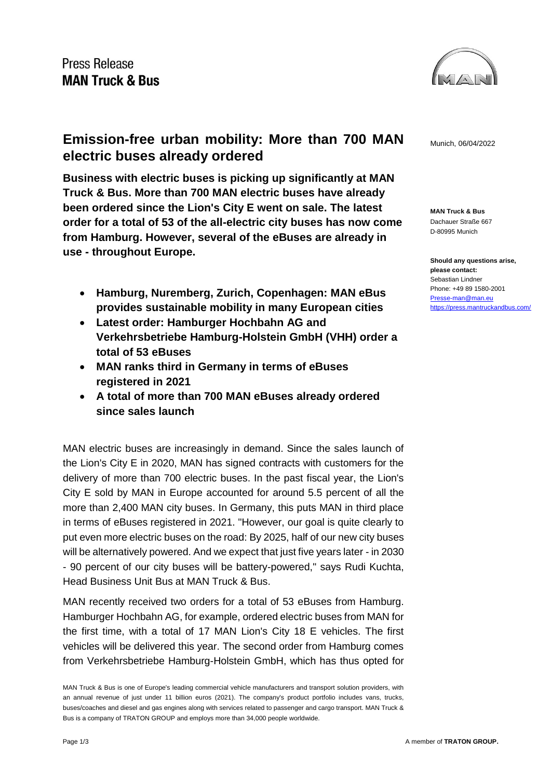

**Emission-free urban mobility: More than 700 MAN** Munich, 06/04/2022 **electric buses already ordered**

**Business with electric buses is picking up significantly at MAN Truck & Bus. More than 700 MAN electric buses have already been ordered since the Lion's City E went on sale. The latest order for a total of 53 of the all-electric city buses has now come from Hamburg. However, several of the eBuses are already in use - throughout Europe.**

- **Hamburg, Nuremberg, Zurich, Copenhagen: MAN eBus provides sustainable mobility in many European cities**
- **Latest order: Hamburger Hochbahn AG and Verkehrsbetriebe Hamburg-Holstein GmbH (VHH) order a total of 53 eBuses**
- **MAN ranks third in Germany in terms of eBuses registered in 2021**
- **A total of more than 700 MAN eBuses already ordered since sales launch**

MAN electric buses are increasingly in demand. Since the sales launch of the Lion's City E in 2020, MAN has signed contracts with customers for the delivery of more than 700 electric buses. In the past fiscal year, the Lion's City E sold by MAN in Europe accounted for around 5.5 percent of all the more than 2,400 MAN city buses. In Germany, this puts MAN in third place in terms of eBuses registered in 2021. "However, our goal is quite clearly to put even more electric buses on the road: By 2025, half of our new city buses will be alternatively powered. And we expect that just five years later - in 2030 - 90 percent of our city buses will be battery-powered," says Rudi Kuchta, Head Business Unit Bus at MAN Truck & Bus.

MAN recently received two orders for a total of 53 eBuses from Hamburg. Hamburger Hochbahn AG, for example, ordered electric buses from MAN for the first time, with a total of 17 MAN Lion's City 18 E vehicles. The first vehicles will be delivered this year. The second order from Hamburg comes from Verkehrsbetriebe Hamburg-Holstein GmbH, which has thus opted for

**MAN Truck & Bus** Dachauer Straße 667 D-80995 Munich

**Should any questions arise, please contact:** Sebastian Lindner Phone: +49 89 1580-2001 [Presse-man@man.eu](mailto:Presse-man@man.eu) <https://press.mantruckandbus.com/>

MAN Truck & Bus is one of Europe's leading commercial vehicle manufacturers and transport solution providers, with an annual revenue of just under 11 billion euros (2021). The company's product portfolio includes vans, trucks, buses/coaches and diesel and gas engines along with services related to passenger and cargo transport. MAN Truck & Bus is a company of TRATON GROUP and employs more than 34,000 people worldwide.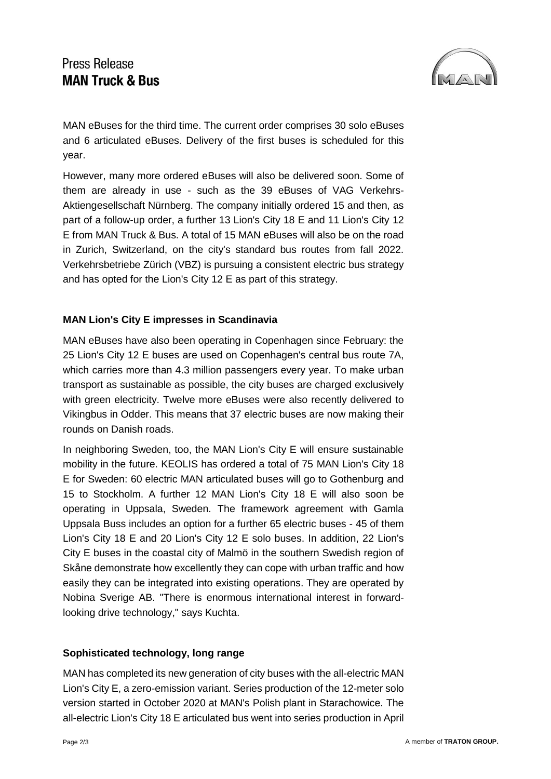## **Press Release MAN Truck & Bus**



MAN eBuses for the third time. The current order comprises 30 solo eBuses and 6 articulated eBuses. Delivery of the first buses is scheduled for this year.

However, many more ordered eBuses will also be delivered soon. Some of them are already in use - such as the 39 eBuses of VAG Verkehrs-Aktiengesellschaft Nürnberg. The company initially ordered 15 and then, as part of a follow-up order, a further 13 Lion's City 18 E and 11 Lion's City 12 E from MAN Truck & Bus. A total of 15 MAN eBuses will also be on the road in Zurich, Switzerland, on the city's standard bus routes from fall 2022. Verkehrsbetriebe Zürich (VBZ) is pursuing a consistent electric bus strategy and has opted for the Lion's City 12 E as part of this strategy.

## **MAN Lion's City E impresses in Scandinavia**

MAN eBuses have also been operating in Copenhagen since February: the 25 Lion's City 12 E buses are used on Copenhagen's central bus route 7A, which carries more than 4.3 million passengers every year. To make urban transport as sustainable as possible, the city buses are charged exclusively with green electricity. Twelve more eBuses were also recently delivered to Vikingbus in Odder. This means that 37 electric buses are now making their rounds on Danish roads.

In neighboring Sweden, too, the MAN Lion's City E will ensure sustainable mobility in the future. KEOLIS has ordered a total of 75 MAN Lion's City 18 E for Sweden: 60 electric MAN articulated buses will go to Gothenburg and 15 to Stockholm. A further 12 MAN Lion's City 18 E will also soon be operating in Uppsala, Sweden. The framework agreement with Gamla Uppsala Buss includes an option for a further 65 electric buses - 45 of them Lion's City 18 E and 20 Lion's City 12 E solo buses. In addition, 22 Lion's City E buses in the coastal city of Malmö in the southern Swedish region of Skåne demonstrate how excellently they can cope with urban traffic and how easily they can be integrated into existing operations. They are operated by Nobina Sverige AB. "There is enormous international interest in forwardlooking drive technology," says Kuchta.

## **Sophisticated technology, long range**

MAN has completed its new generation of city buses with the all-electric MAN Lion's City E, a zero-emission variant. Series production of the 12-meter solo version started in October 2020 at MAN's Polish plant in Starachowice. The all-electric Lion's City 18 E articulated bus went into series production in April